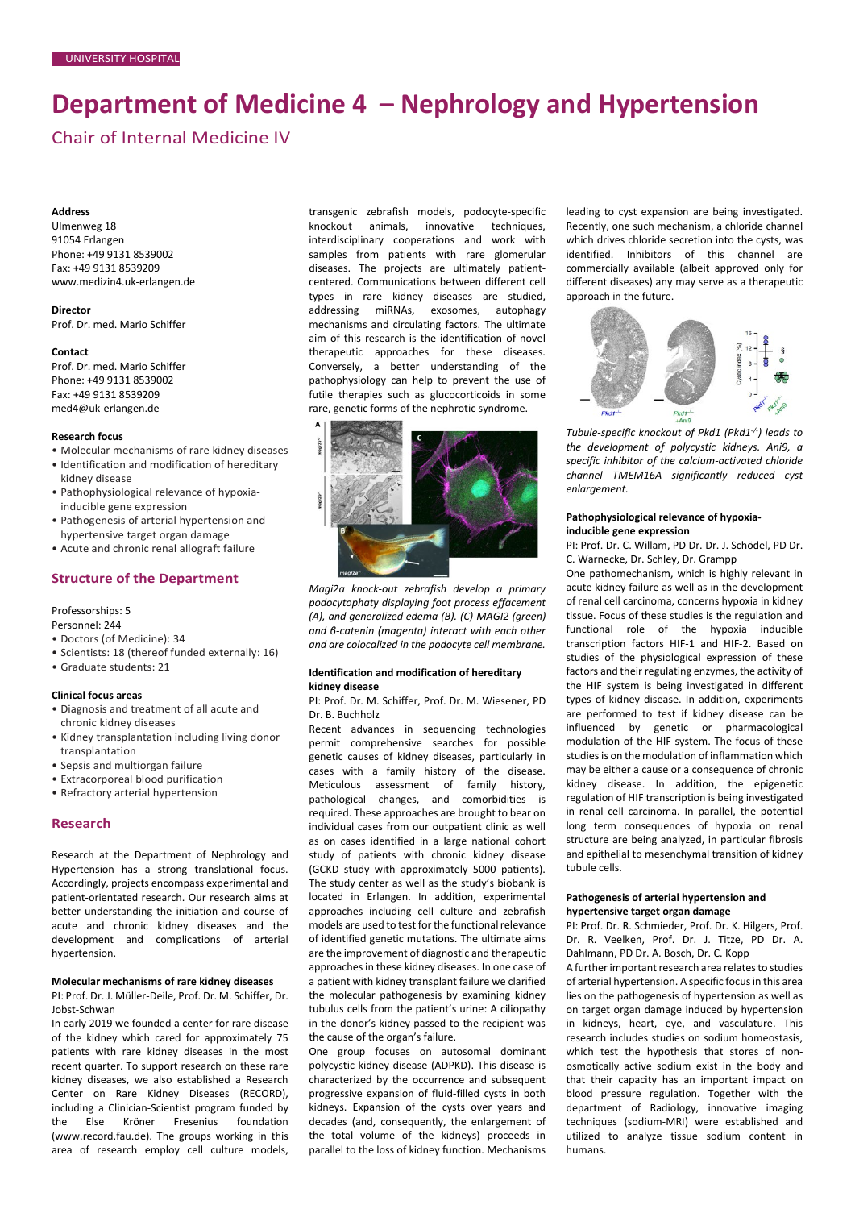# **Department of Medicine 4 – Nephrology and Hypertension**

Chair of Internal Medicine IV

## **Address**

Ulmenweg 18 91054 Erlangen Phone: +49 9131 8539002 Fax: +49 9131 8539209 www.medizin4.uk-erlangen.de

**Director** Prof. Dr. med. Mario Schiffer

#### **Contact**

Prof. Dr. med. Mario Schiffer Phone: +49 9131 8539002 Fax: +49 9131 8539209 med4@uk-erlangen.de

## **Research focus**

- Molecular mechanisms of rare kidney diseases
- Identification and modification of hereditary kidney disease
- Pathophysiological relevance of hypoxiainducible gene expression
- Pathogenesis of arterial hypertension and hypertensive target organ damage
- Acute and chronic renal allograft failure

# **Structure of the Department**

Professorships: 5

Personnel: 244

- Doctors (of Medicine): 34
- Scientists: 18 (thereof funded externally: 16)
- Graduate students: 21

## **Clinical focus areas**

- Diagnosis and treatment of all acute and chronic kidney diseases
- Kidney transplantation including living donor transplantation
- Sepsis and multiorgan failure
- Extracorporeal blood purification
- Refractory arterial hypertension

# **Research**

Research at the Department of Nephrology and Hypertension has a strong translational focus. Accordingly, projects encompass experimental and patient-orientated research. Our research aims at better understanding the initiation and course of acute and chronic kidney diseases and the development and complications of arterial hypertension.

## **Molecular mechanisms of rare kidney diseases**

PI: Prof. Dr. J. Müller-Deile, Prof. Dr. M. Schiffer, Dr. Jobst-Schwan

In early 2019 we founded a center for rare disease of the kidney which cared for approximately 75 patients with rare kidney diseases in the most recent quarter. To support research on these rare kidney diseases, we also established a Research Center on Rare Kidney Diseases (RECORD), including a Clinician-Scientist program funded by the Else Kröner Fresenius foundation (www.record.fau.de). The groups working in this area of research employ cell culture models, transgenic zebrafish models, podocyte-specific knockout animals, innovative techniques, interdisciplinary cooperations and work with samples from patients with rare glomerular diseases. The projects are ultimately patientcentered. Communications between different cell types in rare kidney diseases are studied, addressing miRNAs, exosomes, autophagy mechanisms and circulating factors. The ultimate aim of this research is the identification of novel therapeutic approaches for these diseases. Conversely, a better understanding of the pathophysiology can help to prevent the use of futile therapies such as glucocorticoids in some rare, genetic forms of the nephrotic syndrome.



*Magi2a knock-out zebrafish develop a primary podocytophaty displaying foot process effacement (A), and generalized edema (B). (C) MAGI2 (green) and β-catenin (magenta) interact with each other and are colocalized in the podocyte cell membrane.*

## **Identification and modification of hereditary kidney disease**

PI: Prof. Dr. M. Schiffer, Prof. Dr. M. Wiesener, PD Dr. B. Buchholz

Recent advances in sequencing technologies permit comprehensive searches for possible genetic causes of kidney diseases, particularly in cases with a family history of the disease. Meticulous assessment of family history, pathological changes, and comorbidities is required. These approaches are brought to bear on individual cases from our outpatient clinic as well as on cases identified in a large national cohort study of patients with chronic kidney disease (GCKD study with approximately 5000 patients). The study center as well as the study's biobank is located in Erlangen. In addition, experimental approaches including cell culture and zebrafish models are used to test for the functional relevance of identified genetic mutations. The ultimate aims are the improvement of diagnostic and therapeutic approaches in these kidney diseases. In one case of a patient with kidney transplant failure we clarified the molecular pathogenesis by examining kidney tubulus cells from the patient's urine: A ciliopathy in the donor's kidney passed to the recipient was the cause of the organ's failure.

One group focuses on autosomal dominant polycystic kidney disease (ADPKD). This disease is characterized by the occurrence and subsequent progressive expansion of fluid-filled cysts in both kidneys. Expansion of the cysts over years and decades (and, consequently, the enlargement of the total volume of the kidneys) proceeds in parallel to the loss of kidney function. Mechanisms leading to cyst expansion are being investigated. Recently, one such mechanism, a chloride channel which drives chloride secretion into the cysts, was identified. Inhibitors of this channel are commercially available (albeit approved only for different diseases) any may serve as a therapeutic approach in the future.



*Tubule-specific knockout of Pkd1 (Pkd1-/- ) leads to the development of polycystic kidneys. Ani9, a specific inhibitor of the calcium-activated chloride channel TMEM16A significantly reduced cyst enlargement.*

## **Pathophysiological relevance of hypoxiainducible gene expression**

PI: Prof. Dr. C. Willam, PD Dr. Dr. J. Schödel, PD Dr. C. Warnecke, Dr. Schley, Dr. Grampp

One pathomechanism, which is highly relevant in acute kidney failure as well as in the development of renal cell carcinoma, concerns hypoxia in kidney tissue. Focus of these studies is the regulation and functional role of the hypoxia inducible transcription factors HIF-1 and HIF-2. Based on studies of the physiological expression of these factors and their regulating enzymes, the activity of the HIF system is being investigated in different types of kidney disease. In addition, experiments are performed to test if kidney disease can be influenced by genetic or pharmacological modulation of the HIF system. The focus of these studies is on the modulation of inflammation which may be either a cause or a consequence of chronic kidney disease. In addition, the epigenetic regulation of HIF transcription is being investigated in renal cell carcinoma. In parallel, the potential long term consequences of hypoxia on renal structure are being analyzed, in particular fibrosis and epithelial to mesenchymal transition of kidney tubule cells.

#### **Pathogenesis of arterial hypertension and hypertensive target organ damage**

PI: Prof. Dr. R. Schmieder, Prof. Dr. K. Hilgers, Prof. Dr. R. Veelken, Prof. Dr. J. Titze, PD Dr. A. Dahlmann, PD Dr. A. Bosch, Dr. C. Kopp

A further important research area relates to studies of arterial hypertension. A specific focus in this area lies on the pathogenesis of hypertension as well as on target organ damage induced by hypertension in kidneys, heart, eye, and vasculature. This research includes studies on sodium homeostasis, which test the hypothesis that stores of nonosmotically active sodium exist in the body and that their capacity has an important impact on blood pressure regulation. Together with the department of Radiology, innovative imaging techniques (sodium-MRI) were established and utilized to analyze tissue sodium content in humans.